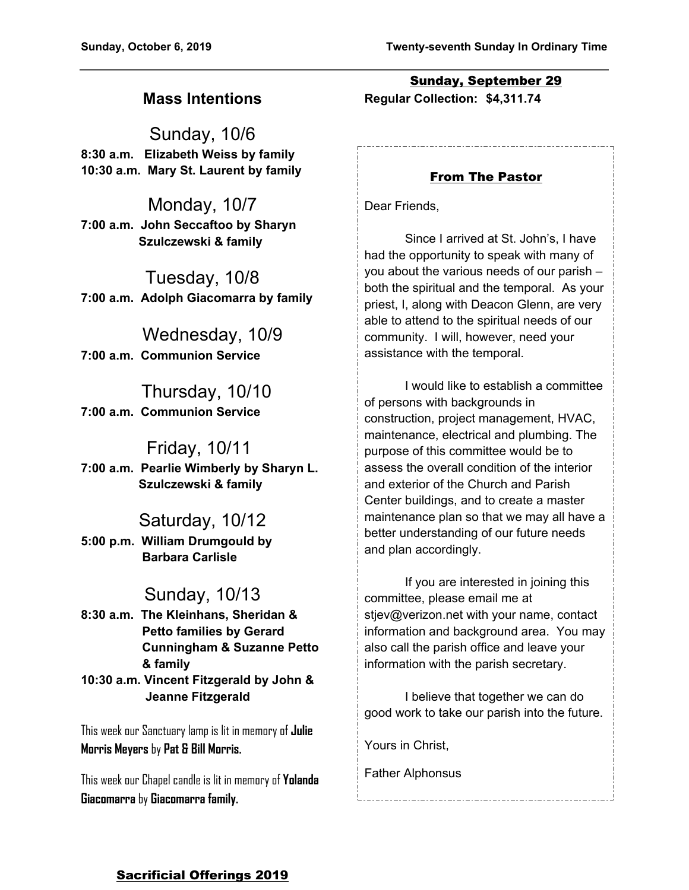# **Mass Intentions**

Sunday, 10/6 **8:30 a.m. Elizabeth Weiss by family 10:30 a.m. Mary St. Laurent by family**

Monday, 10/7 **7:00 a.m. John Seccaftoo by Sharyn Szulczewski & family**

Tuesday, 10/8 **7:00 a.m. Adolph Giacomarra by family**

 Wednesday, 10/9 **7:00 a.m. Communion Service**

 Thursday, 10/10 **7:00 a.m. Communion Service**

## Friday, 10/11

**7:00 a.m. Pearlie Wimberly by Sharyn L. Szulczewski & family**

## Saturday, 10/12

**5:00 p.m. William Drumgould by Barbara Carlisle**

# Sunday, 10/13

**8:30 a.m. The Kleinhans, Sheridan & Petto families by Gerard Cunningham & Suzanne Petto & family 10:30 a.m. Vincent Fitzgerald by John & Jeanne Fitzgerald**

This week our Sanctuary lamp is lit in memory of **Julie Morris Meyers** by **Pat & Bill Morris.**

This week our Chapel candle is lit in memory of **Yolanda Giacomarra** by **Giacomarra family.**

Sunday, September 29 **Regular Collection: \$4,311.74**

## From The Pastor

Dear Friends,

Since I arrived at St. John's, I have had the opportunity to speak with many of you about the various needs of our parish – both the spiritual and the temporal. As your priest, I, along with Deacon Glenn, are very able to attend to the spiritual needs of our community. I will, however, need your assistance with the temporal.

I would like to establish a committee of persons with backgrounds in construction, project management, HVAC, maintenance, electrical and plumbing. The purpose of this committee would be to assess the overall condition of the interior and exterior of the Church and Parish Center buildings, and to create a master maintenance plan so that we may all have a better understanding of our future needs and plan accordingly.

If you are interested in joining this committee, please email me at stjev@verizon.net with your name, contact information and background area. You may also call the parish office and leave your information with the parish secretary.

I believe that together we can do good work to take our parish into the future.

Yours in Christ,

Father Alphonsus

## Sacrificial Offerings 2019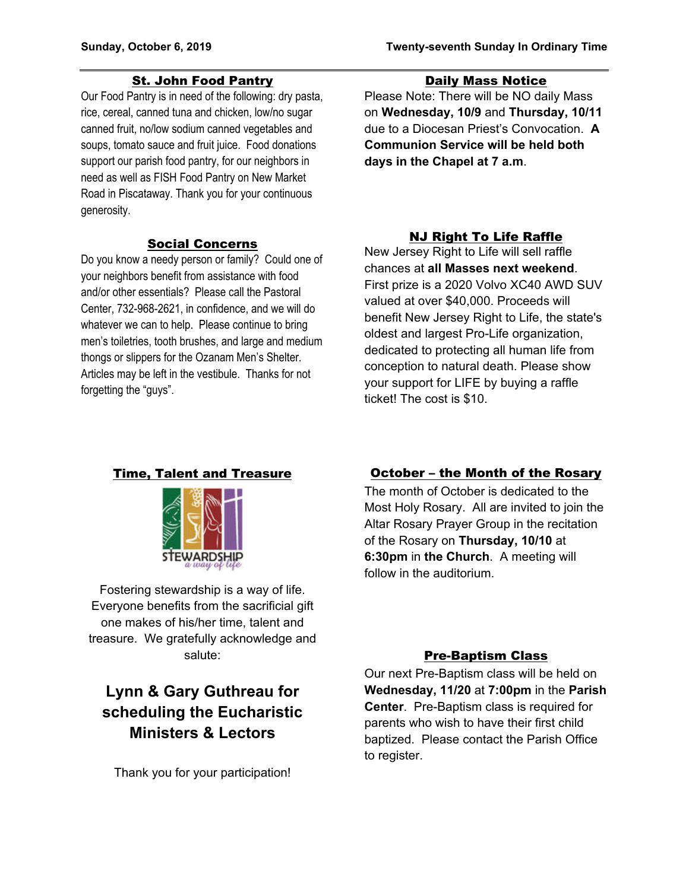### St. John Food Pantry

Our Food Pantry is in need of the following: dry pasta, rice, cereal, canned tuna and chicken, low/no sugar canned fruit, no/low sodium canned vegetables and soups, tomato sauce and fruit juice. Food donations support our parish food pantry, for our neighbors in need as well as FISH Food Pantry on New Market Road in Piscataway. Thank you for your continuous generosity.

#### Social Concerns

Do you know a needy person or family? Could one of your neighbors benefit from assistance with food and/or other essentials? Please call the Pastoral Center, 732-968-2621, in confidence, and we will do whatever we can to help. Please continue to bring men's toiletries, tooth brushes, and large and medium thongs or slippers for the Ozanam Men's Shelter. Articles may be left in the vestibule. Thanks for not forgetting the "guys".

### Daily Mass Notice

Please Note: There will be NO daily Mass on **Wednesday, 10/9** and **Thursday, 10/11** due to a Diocesan Priest's Convocation. **A Communion Service will be held both days in the Chapel at 7 a.m**.

## NJ Right To Life Raffle

New Jersey Right to Life will sell raffle chances at **all Masses next weekend**. First prize is a 2020 Volvo XC40 AWD SUV valued at over \$40,000. Proceeds will benefit New Jersey Right to Life, the state's oldest and largest Pro-Life organization, dedicated to protecting all human life from conception to natural death. Please show your support for LIFE by buying a raffle ticket! The cost is \$10.

### Time, Talent and Treasure



Fostering stewardship is a way of life. Everyone benefits from the sacrificial gift one makes of his/her time, talent and treasure. We gratefully acknowledge and salute:

# **Lynn & Gary Guthreau for scheduling the Eucharistic Ministers & Lectors**

Thank you for your participation!

## October – the Month of the Rosary

The month of October is dedicated to the Most Holy Rosary. All are invited to join the Altar Rosary Prayer Group in the recitation of the Rosary on **Thursday, 10/10** at **6:30pm** in **the Church**. A meeting will follow in the auditorium.

## Pre-Baptism Class

Our next Pre-Baptism class will be held on **Wednesday, 11/20** at **7:00pm** in the **Parish Center**. Pre-Baptism class is required for parents who wish to have their first child baptized. Please contact the Parish Office to register.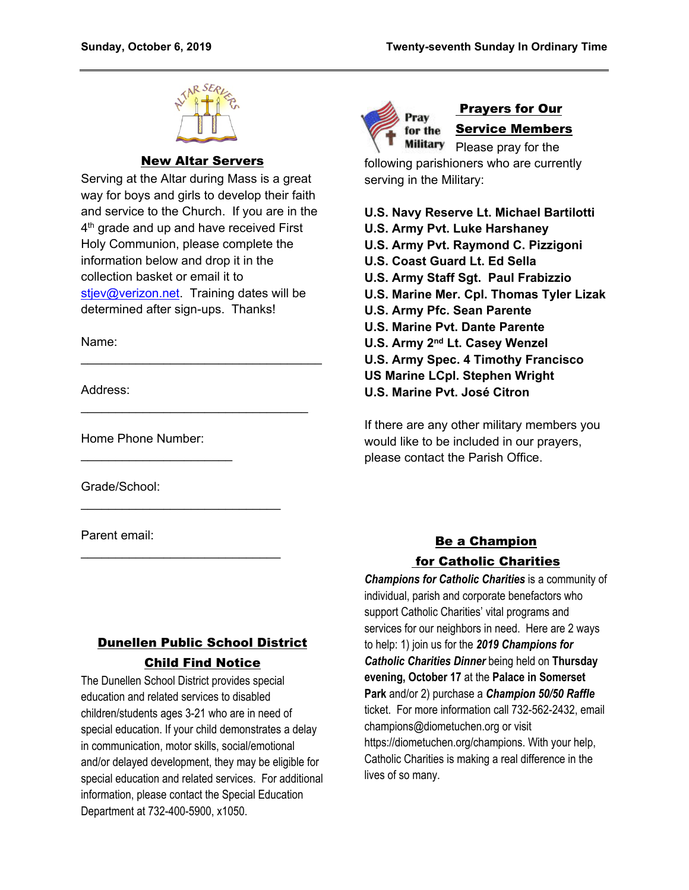

### New Altar Servers

Serving at the Altar during Mass is a great way for boys and girls to develop their faith and service to the Church. If you are in the 4<sup>th</sup> grade and up and have received First Holy Communion, please complete the information below and drop it in the collection basket or email it to stiev@verizon.net. Training dates will be determined after sign-ups. Thanks!

\_\_\_\_\_\_\_\_\_\_\_\_\_\_\_\_\_\_\_\_\_\_\_\_\_\_\_\_\_\_\_\_\_\_\_

\_\_\_\_\_\_\_\_\_\_\_\_\_\_\_\_\_\_\_\_\_\_\_\_\_\_\_\_\_\_\_\_\_

\_\_\_\_\_\_\_\_\_\_\_\_\_\_\_\_\_\_\_\_\_\_\_\_\_\_\_\_\_

\_\_\_\_\_\_\_\_\_\_\_\_\_\_\_\_\_\_\_\_\_\_\_\_\_\_\_\_\_

Name:

Address:

Home Phone Number:

 $\overline{\phantom{a}}$  . The set of the set of the set of the set of the set of the set of the set of the set of the set of the set of the set of the set of the set of the set of the set of the set of the set of the set of the set o

Grade/School:

Parent email:

# Dunellen Public School District Child Find Notice

The Dunellen School District provides special education and related services to disabled children/students ages 3-21 who are in need of special education. If your child demonstrates a delay in communication, motor skills, social/emotional and/or delayed development, they may be eligible for special education and related services. For additional information, please contact the Special Education Department at 732-400-5900, x1050.



# Prayers for Our Service Members

Military Please pray for the following parishioners who are currently serving in the Military:

### **U.S. Navy Reserve Lt. Michael Bartilotti**

- **U.S. Army Pvt. Luke Harshaney**
- **U.S. Army Pvt. Raymond C. Pizzigoni**
- **U.S. Coast Guard Lt. Ed Sella**
- **U.S. Army Staff Sgt. Paul Frabizzio**
- **U.S. Marine Mer. Cpl. Thomas Tyler Lizak**
- **U.S. Army Pfc. Sean Parente**
- **U.S. Marine Pvt. Dante Parente**
- **U.S. Army 2nd Lt. Casey Wenzel**
- **U.S. Army Spec. 4 Timothy Francisco**
- **US Marine LCpl. Stephen Wright**
- **U.S. Marine Pvt. José Citron**

If there are any other military members you would like to be included in our prayers, please contact the Parish Office.

# Be a Champion for Catholic Charities

*Champions for Catholic Charities* is a community of individual, parish and corporate benefactors who support Catholic Charities' vital programs and services for our neighbors in need. Here are 2 ways to help: 1) join us for the *2019 Champions for Catholic Charities Dinner* being held on **Thursday evening, October 17** at the **Palace in Somerset Park** and/or 2) purchase a *Champion 50/50 Raffle* ticket. For more information call 732-562-2432, email champions@diometuchen.org or visit https://diometuchen.org/champions. With your help, Catholic Charities is making a real difference in the lives of so many.